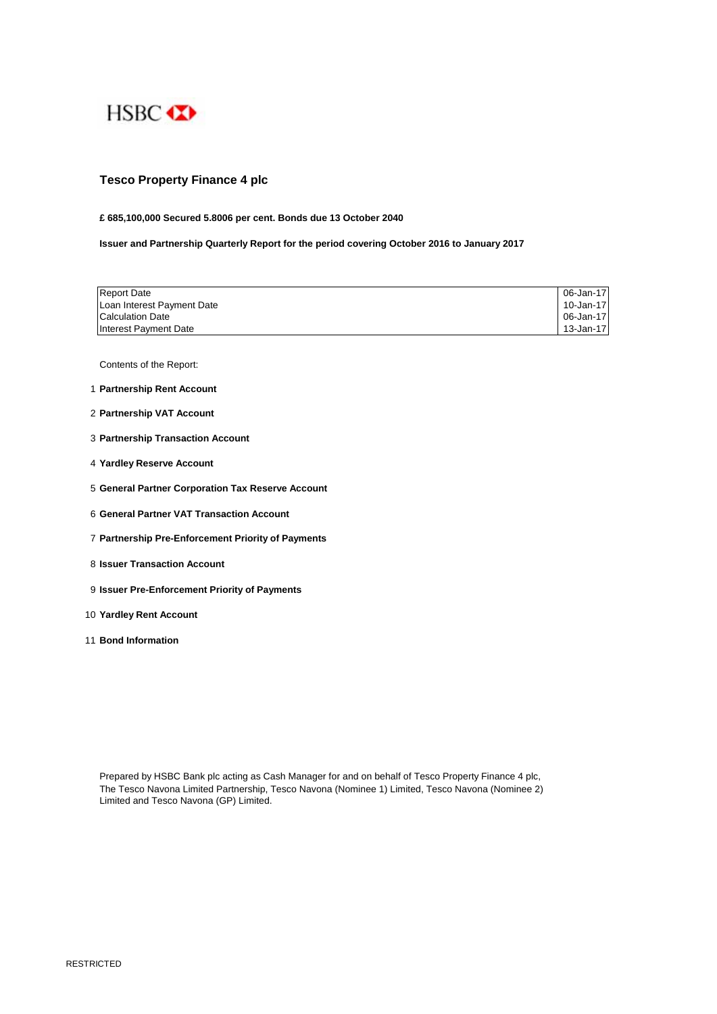

# **Tesco Property Finance 4 plc**

## **£ 685,100,000 Secured 5.8006 per cent. Bonds due 13 October 2040**

**Issuer and Partnership Quarterly Report for the period covering October 2016 to January 2017**

| <b>Report Date</b>         | 06-Jan-17 |
|----------------------------|-----------|
| Loan Interest Payment Date | 10-Jan-17 |
| <b>Calculation Date</b>    | 06-Jan-17 |
| Interest Payment Date      | 13-Jan-17 |

Contents of the Report:

- 1 **Partnership Rent Account**
- 2 **Partnership VAT Account**
- 3 **Partnership Transaction Account**
- 4 **Yardley Reserve Account**
- 5 **General Partner Corporation Tax Reserve Account**
- 6 **General Partner VAT Transaction Account**
- 7 **Partnership Pre-Enforcement Priority of Payments**
- 8 **Issuer Transaction Account**
- 9 **Issuer Pre-Enforcement Priority of Payments**
- 10 **Yardley Rent Account**
- 11 **Bond Information**

Prepared by HSBC Bank plc acting as Cash Manager for and on behalf of Tesco Property Finance 4 plc, The Tesco Navona Limited Partnership, Tesco Navona (Nominee 1) Limited, Tesco Navona (Nominee 2) Limited and Tesco Navona (GP) Limited.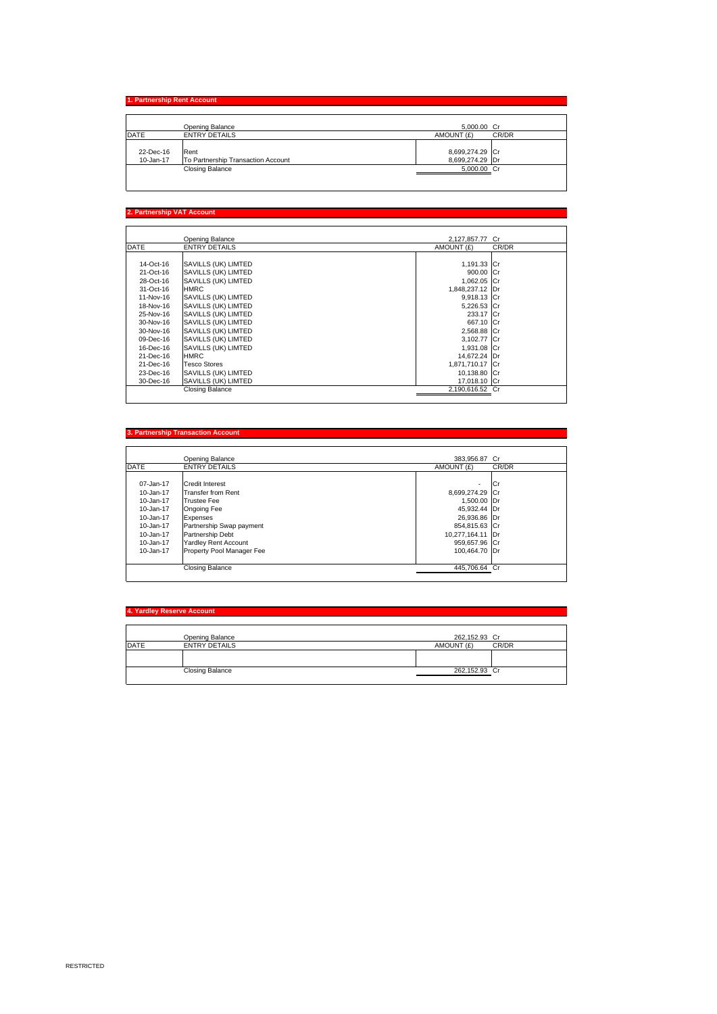# **1. Partnership Rent Account**

|             | Opening Balance                    | 5.000.00 Cr     |       |
|-------------|------------------------------------|-----------------|-------|
| <b>DATE</b> | <b>ENTRY DETAILS</b>               | AMOUNT (£)      | CR/DR |
|             |                                    |                 |       |
| 22-Dec-16   | Rent                               | 8,699,274.29 Cr |       |
| 10-Jan-17   | To Partnership Transaction Account | 8,699,274.29 Dr |       |
|             | <b>Closing Balance</b>             | 5.000.00 Cr     |       |
|             |                                    |                 |       |

### **2. Partnership VAT Account**

|             | Opening Balance        | 2.127.857.77 Cr |       |
|-------------|------------------------|-----------------|-------|
| <b>DATE</b> | <b>ENTRY DETAILS</b>   | AMOUNT (£)      | CR/DR |
|             |                        |                 |       |
| 14-Oct-16   | SAVILLS (UK) LIMTED    | 1,191.33 Cr     |       |
| 21-Oct-16   | SAVILLS (UK) LIMTED    | 900.00 Cr       |       |
| 28-Oct-16   | SAVILLS (UK) LIMTED    | 1,062.05 Cr     |       |
| 31-Oct-16   | <b>HMRC</b>            | 1,848,237.12 Dr |       |
| 11-Nov-16   | SAVILLS (UK) LIMTED    | 9,918.13 Cr     |       |
| 18-Nov-16   | SAVILLS (UK) LIMTED    | 5,226.53 Cr     |       |
| 25-Nov-16   | SAVILLS (UK) LIMTED    | 233.17 Cr       |       |
| 30-Nov-16   | SAVILLS (UK) LIMTED    | 667.10 Cr       |       |
| 30-Nov-16   | SAVILLS (UK) LIMTED    | 2,568.88 Cr     |       |
| 09-Dec-16   | SAVILLS (UK) LIMTED    | 3,102.77 Cr     |       |
| 16-Dec-16   | SAVILLS (UK) LIMTED    | 1,931.08 Cr     |       |
| 21-Dec-16   | <b>HMRC</b>            | 14,672.24 Dr    |       |
| 21-Dec-16   | <b>Tesco Stores</b>    | 1.871.710.17 Cr |       |
| 23-Dec-16   | SAVILLS (UK) LIMTED    | 10.138.80 Cr    |       |
| 30-Dec-16   | SAVILLS (UK) LIMTED    | 17.018.10 Cr    |       |
|             | <b>Closing Balance</b> | 2,190,616.52 Cr |       |

### **3. Partnership Transaction Acc**

|                 | Opening Balance             | 383.956.87 Cr            |       |
|-----------------|-----------------------------|--------------------------|-------|
| <b>DATE</b>     | <b>ENTRY DETAILS</b>        | AMOUNT (£)               | CR/DR |
|                 |                             |                          |       |
| 07-Jan-17       | <b>Credit Interest</b>      | $\overline{\phantom{a}}$ | lCr   |
| $10 - Jan - 17$ | <b>Transfer from Rent</b>   | 8,699,274.29 Cr          |       |
| $10 - Jan - 17$ | <b>Trustee Fee</b>          | 1,500.00 Dr              |       |
| 10-Jan-17       | Ongoing Fee                 | 45,932.44 Dr             |       |
| 10-Jan-17       | Expenses                    | 26,936.86 Dr             |       |
| 10-Jan-17       | Partnership Swap payment    | 854,815.63 Cr            |       |
| 10-Jan-17       | Partnership Debt            | 10,277,164.11 Dr         |       |
| 10-Jan-17       | <b>Yardley Rent Account</b> | 959,657.96 Cr            |       |
| 10-Jan-17       | Property Pool Manager Fee   | 100.464.70 Dr            |       |
|                 |                             |                          |       |
|                 | Closing Balance             | 445.706.64 Cr            |       |

## **4. Yardley Reserve Account**

|             | Opening Balance        | 262,152.93 Cr |       |
|-------------|------------------------|---------------|-------|
| <b>DATE</b> | <b>ENTRY DETAILS</b>   | AMOUNT (£)    | CR/DR |
|             |                        |               |       |
|             | <b>Closing Balance</b> | 262,152.93 Cr |       |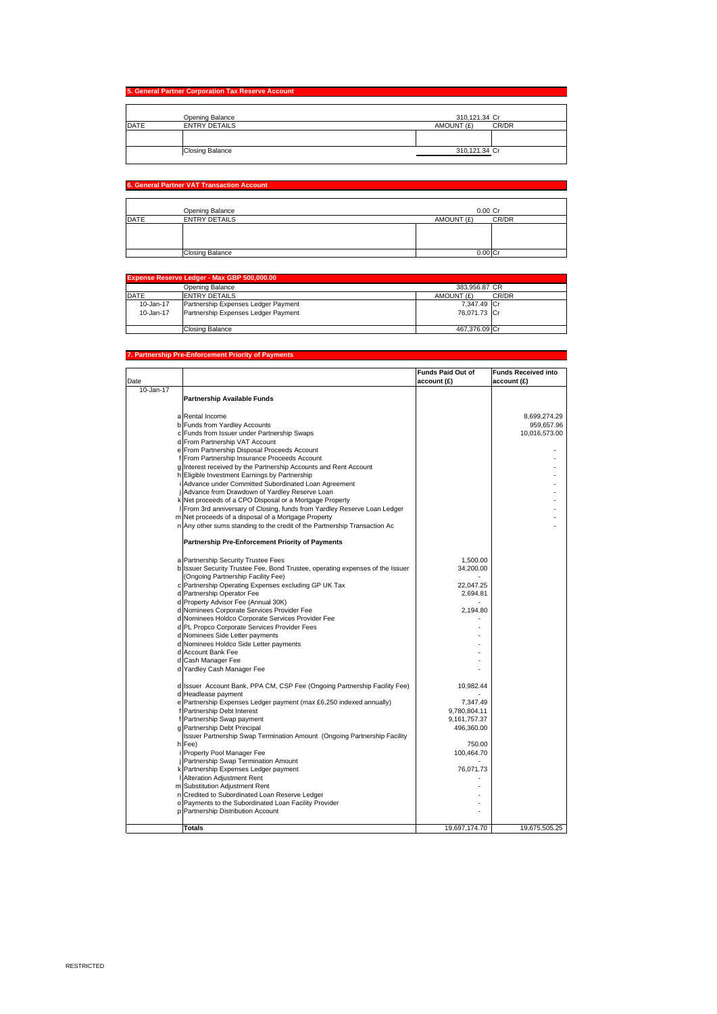|             | Opening Balance        | 310,121.34 Cr       |
|-------------|------------------------|---------------------|
|             |                        |                     |
| <b>DATE</b> | <b>ENTRY DETAILS</b>   | AMOUNT (£)<br>CR/DR |
|             |                        |                     |
|             |                        |                     |
|             | <b>Closing Balance</b> | 310,121.34 Cr       |

## **6. General Partner VAT Transaction Account**

|      | Opening Balance        | $0.00$ Cr  |       |
|------|------------------------|------------|-------|
| DATE | <b>ENTRY DETAILS</b>   | AMOUNT (£) | CR/DR |
|      |                        |            |       |
|      |                        |            |       |
|      |                        |            |       |
|      | <b>Closing Balance</b> | 0.00       |       |

| Expense Reserve Ledger - Max GBP 500,000.00 |                                     |               |       |
|---------------------------------------------|-------------------------------------|---------------|-------|
|                                             | Opening Balance                     | 383,956,87 CR |       |
| <b>DATE</b>                                 | <b>ENTRY DETAILS</b>                | AMOUNT (£)    | CR/DR |
| 10-Jan-17                                   | Partnership Expenses Ledger Payment | 7.347.49 Cr   |       |
| 10-Jan-17                                   | Partnership Expenses Ledger Payment | 76.071.73 Cr  |       |
|                                             | Closing Balance                     | 467.376.09 Cr |       |

#### **Partnership Pre-Enforcement Priority of Pay**

|                 |                                                                                                                      | <b>Funds Paid Out of</b> | <b>Funds Received into</b> |
|-----------------|----------------------------------------------------------------------------------------------------------------------|--------------------------|----------------------------|
| Date            |                                                                                                                      | account (£)              | account (£)                |
| $10 - Jan - 17$ |                                                                                                                      |                          |                            |
|                 | Partnership Available Funds                                                                                          |                          |                            |
|                 |                                                                                                                      |                          |                            |
|                 | a Rental Income                                                                                                      |                          | 8,699,274.29               |
|                 | b Funds from Yardley Accounts                                                                                        |                          | 959,657.96                 |
|                 | c Funds from Issuer under Partnership Swaps                                                                          |                          | 10,016,573.00              |
|                 | d From Partnership VAT Account                                                                                       |                          |                            |
|                 | e From Partnership Disposal Proceeds Account                                                                         |                          |                            |
|                 | f From Partnership Insurance Proceeds Account                                                                        |                          |                            |
|                 | g Interest received by the Partnership Accounts and Rent Account                                                     |                          |                            |
|                 | h Eligible Investment Earnings by Partnership                                                                        |                          |                            |
|                 | Advance under Committed Subordinated Loan Agreement                                                                  |                          |                            |
|                 | j Advance from Drawdown of Yardley Reserve Loan                                                                      |                          |                            |
|                 | k Net proceeds of a CPO Disposal or a Mortgage Property                                                              |                          |                            |
|                 | From 3rd anniversary of Closing, funds from Yardley Reserve Loan Ledger                                              |                          |                            |
|                 | m Net proceeds of a disposal of a Mortgage Property                                                                  |                          |                            |
|                 | n Any other sums standing to the credit of the Partnership Transaction Ac                                            |                          |                            |
|                 | <b>Partnership Pre-Enforcement Priority of Payments</b>                                                              |                          |                            |
|                 |                                                                                                                      | 1,500.00                 |                            |
|                 | a Partnership Security Trustee Fees<br>b Issuer Security Trustee Fee, Bond Trustee, operating expenses of the Issuer | 34,200.00                |                            |
|                 | (Ongoing Partnership Facility Fee)                                                                                   |                          |                            |
|                 | c Partnership Operating Expenses excluding GP UK Tax                                                                 | 22,047.25                |                            |
|                 | d Partnership Operator Fee                                                                                           | 2,694.81                 |                            |
|                 | d Property Advisor Fee (Annual 30K)                                                                                  |                          |                            |
|                 | d Nominees Corporate Services Provider Fee                                                                           | 2,194.80                 |                            |
|                 | d Nominees Holdco Corporate Services Provider Fee                                                                    |                          |                            |
|                 | d PL Propco Corporate Services Provider Fees                                                                         |                          |                            |
|                 | d Nominees Side Letter payments                                                                                      |                          |                            |
|                 | d Nominees Holdco Side Letter payments                                                                               |                          |                            |
|                 | d Account Bank Fee                                                                                                   |                          |                            |
|                 | d Cash Manager Fee                                                                                                   |                          |                            |
|                 | d Yardley Cash Manager Fee                                                                                           |                          |                            |
|                 |                                                                                                                      |                          |                            |
|                 | d Issuer Account Bank, PPA CM, CSP Fee (Ongoing Partnership Facility Fee)<br>d Headlease payment                     | 10,982.44                |                            |
|                 | e Partnership Expenses Ledger payment (max £6,250 indexed annually)                                                  | 7.347.49                 |                            |
|                 | f Partnership Debt Interest                                                                                          | 9,780,804.11             |                            |
|                 | f Partnership Swap payment                                                                                           | 9,161,757.37             |                            |
|                 | g Partnership Debt Principal                                                                                         | 496,360.00               |                            |
|                 | Issuer Partnership Swap Termination Amount (Ongoing Partnership Facility                                             |                          |                            |
|                 | h Fee)                                                                                                               | 750.00                   |                            |
|                 | Property Pool Manager Fee                                                                                            | 100,464.70               |                            |
|                 | Partnership Swap Termination Amount                                                                                  |                          |                            |
|                 | k Partnership Expenses Ledger payment                                                                                | 76,071.73                |                            |
|                 | Alteration Adjustment Rent                                                                                           |                          |                            |
|                 | m Substitution Adjustment Rent                                                                                       |                          |                            |
|                 | n Credited to Subordinated Loan Reserve Ledger                                                                       |                          |                            |
|                 | o Payments to the Subordinated Loan Facility Provider                                                                |                          |                            |
|                 | p Partnership Distribution Account                                                                                   |                          |                            |
|                 | <b>Totals</b>                                                                                                        | 19,697,174.70            | 19,675,505.25              |
|                 |                                                                                                                      |                          |                            |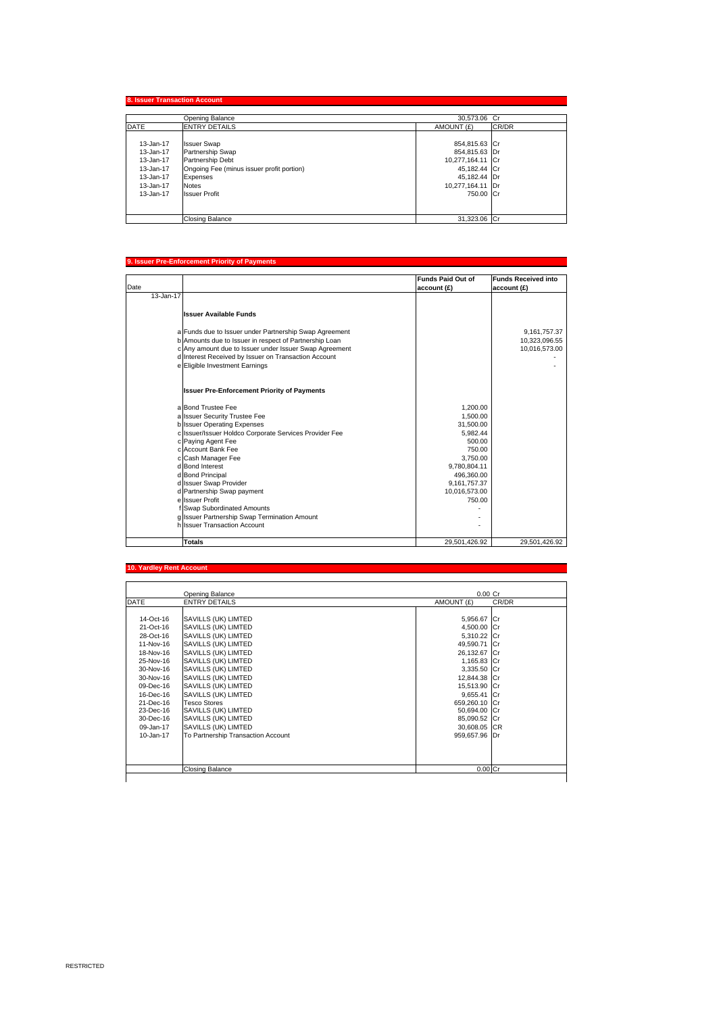|             | Opening Balance                           | 30.573.06 Cr     |       |
|-------------|-------------------------------------------|------------------|-------|
| <b>DATE</b> | <b>ENTRY DETAILS</b>                      | AMOUNT (£)       | CR/DR |
| 13-Jan-17   | <b>Issuer Swap</b>                        | 854,815.63 Cr    |       |
| 13-Jan-17   | Partnership Swap                          | 854,815.63 Dr    |       |
| 13-Jan-17   | Partnership Debt                          | 10,277,164.11 Cr |       |
| 13-Jan-17   | Ongoing Fee (minus issuer profit portion) | 45,182.44 Cr     |       |
| 13-Jan-17   | Expenses                                  | 45,182.44 Dr     |       |
| 13-Jan-17   | <b>Notes</b>                              | 10,277,164.11 Dr |       |
| 13-Jan-17   | <b>Issuer Profit</b>                      | 750.00 Cr        |       |
|             |                                           |                  |       |
|             | <b>Closing Balance</b>                    | 31,323.06 Cr     |       |

#### **9. Issuer Pre-Enforcement Priority of Payments**

|           |                                                        | <b>Funds Paid Out of</b> | <b>Funds Received into</b> |
|-----------|--------------------------------------------------------|--------------------------|----------------------------|
| Date      |                                                        | account (£)              | account (£)                |
| 13-Jan-17 |                                                        |                          |                            |
|           |                                                        |                          |                            |
|           | <b>Issuer Available Funds</b>                          |                          |                            |
|           | a Funds due to Issuer under Partnership Swap Agreement |                          | 9,161,757.37               |
|           | b Amounts due to Issuer in respect of Partnership Loan |                          | 10,323,096.55              |
|           | c Any amount due to Issuer under Issuer Swap Agreement |                          | 10,016,573.00              |
|           | d Interest Received by Issuer on Transaction Account   |                          |                            |
|           | e Eligible Investment Earnings                         |                          |                            |
|           | <b>Issuer Pre-Enforcement Priority of Payments</b>     |                          |                            |
|           | a Bond Trustee Fee                                     | 1.200.00                 |                            |
|           | a Issuer Security Trustee Fee                          | 1,500.00                 |                            |
|           | b Issuer Operating Expenses                            | 31,500.00                |                            |
|           | c Issuer/Issuer Holdco Corporate Services Provider Fee | 5.982.44                 |                            |
|           | c Paying Agent Fee                                     | 500.00                   |                            |
|           | c Account Bank Fee                                     | 750.00                   |                            |
|           | c Cash Manager Fee                                     | 3.750.00                 |                            |
|           | d Bond Interest                                        | 9.780.804.11             |                            |
|           | d Bond Principal                                       | 496,360.00               |                            |
|           | d Issuer Swap Provider                                 | 9,161,757.37             |                            |
|           | d Partnership Swap payment                             | 10,016,573.00            |                            |
|           | e Issuer Profit                                        | 750.00                   |                            |
|           | f Swap Subordinated Amounts                            |                          |                            |
|           | g Issuer Partnership Swap Termination Amount           |                          |                            |
|           | h Issuer Transaction Account                           |                          |                            |
|           | <b>Totals</b>                                          | 29,501,426.92            | 29,501,426.92              |

#### **10. Yardley Rent Ac**

|             | Opening Balance                    | $0.00$ Cr     |       |
|-------------|------------------------------------|---------------|-------|
| <b>DATE</b> | <b>ENTRY DETAILS</b>               | AMOUNT (£)    | CR/DR |
| 14-Oct-16   | SAVILLS (UK) LIMTED                | 5,956.67 Cr   |       |
| 21-Oct-16   | SAVILLS (UK) LIMTED                | 4,500.00 Cr   |       |
| 28-Oct-16   | SAVILLS (UK) LIMTED                | 5,310.22 Cr   |       |
| 11-Nov-16   | SAVILLS (UK) LIMTED                | 49,590.71 Cr  |       |
| 18-Nov-16   | SAVILLS (UK) LIMTED                | 26,132.67 Cr  |       |
| 25-Nov-16   | SAVILLS (UK) LIMTED                | 1,165.83 Cr   |       |
| 30-Nov-16   | SAVILLS (UK) LIMTED                | 3,335.50 Cr   |       |
| 30-Nov-16   | SAVILLS (UK) LIMTED                | 12,844.38 Cr  |       |
| 09-Dec-16   | SAVILLS (UK) LIMTED                | 15,513.90 Cr  |       |
| 16-Dec-16   | SAVILLS (UK) LIMTED                | 9.655.41 Cr   |       |
| 21-Dec-16   | <b>Tesco Stores</b>                | 659.260.10 Cr |       |
| 23-Dec-16   | SAVILLS (UK) LIMTED                | 50,694.00 Cr  |       |
| 30-Dec-16   | SAVILLS (UK) LIMTED                | 85,090.52 Cr  |       |
| 09-Jan-17   | SAVILLS (UK) LIMTED                | 30,608.05 CR  |       |
| 10-Jan-17   | To Partnership Transaction Account | 959,657.96 Dr |       |
|             |                                    |               |       |
|             | <b>Closing Balance</b>             | $0.00$ Cr     |       |